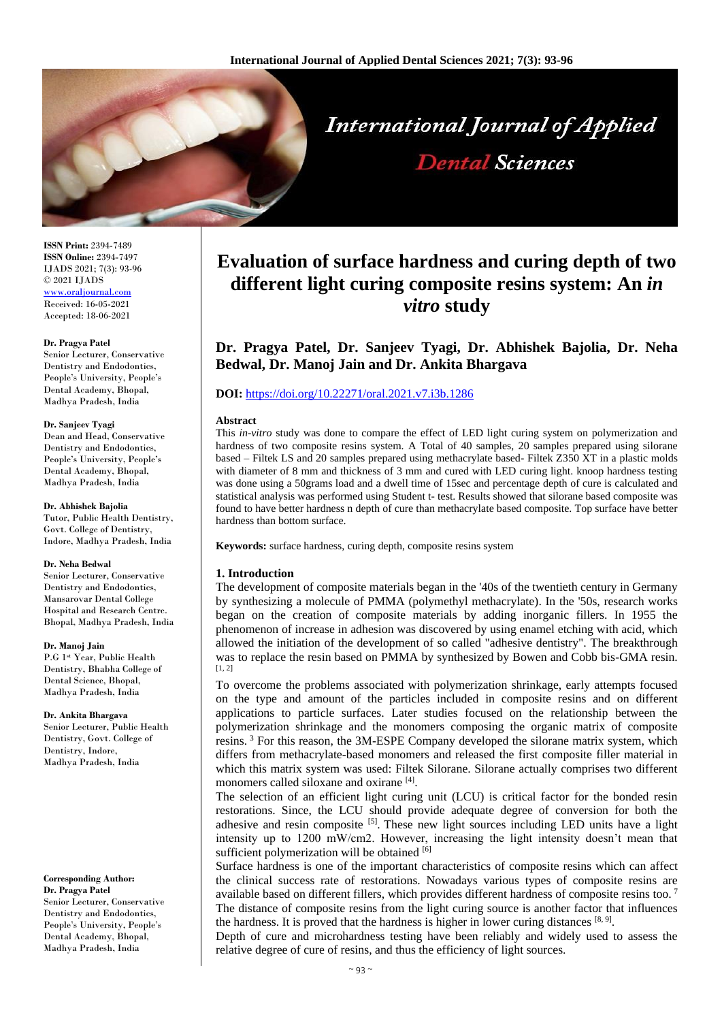

**ISSN Print:** 2394-7489 **ISSN Online:** 2394-7497 IJADS 2021; 7(3): 93-96 © 2021 IJADS <www.oraljournal.com> Received: 16-05-2021 Accepted: 18-06-2021

## **Dr. Pragya Patel**

Senior Lecturer, Conservative Dentistry and Endodontics, People's University, People's Dental Academy, Bhopal, Madhya Pradesh, India

## **Dr. Sanjeev Tyagi**

Dean and Head, Conservative Dentistry and Endodontics, People's University, People's Dental Academy, Bhopal, Madhya Pradesh, India

## **Dr. Abhishek Bajolia**

Tutor, Public Health Dentistry, Govt. College of Dentistry, Indore, Madhya Pradesh, India

## **Dr. Neha Bedwal**

Senior Lecturer, Conservative Dentistry and Endodontics, Mansarovar Dental College Hospital and Research Centre. Bhopal, Madhya Pradesh, India

## **Dr. Manoj Jain**

P.G 1st Year, Public Health Dentistry, Bhabha College of Dental Science, Bhopal, Madhya Pradesh, India

## **Dr. Ankita Bhargava**

Senior Lecturer, Public Health Dentistry, Govt. College of Dentistry, Indore, Madhya Pradesh, India

#### **Corresponding Author: Dr. Pragya Patel** Senior Lecturer, Conservative Dentistry and Endodontics People's University, People's Dental Academy, Bhopal, Madhya Pradesh, India

# **Evaluation of surface hardness and curing depth of two different light curing composite resins system: An** *in vitro* **study**

**Dr. Pragya Patel, Dr. Sanjeev Tyagi, Dr. Abhishek Bajolia, Dr. Neha Bedwal, Dr. Manoj Jain and Dr. Ankita Bhargava**

# **DOI:** <https://doi.org/10.22271/oral.2021.v7.i3b.1286>

## **Abstract**

This *in-vitro* study was done to compare the effect of LED light curing system on polymerization and hardness of two composite resins system. A Total of 40 samples, 20 samples prepared using silorane based – Filtek LS and 20 samples prepared using methacrylate based- Filtek Z350 XT in a plastic molds with diameter of 8 mm and thickness of 3 mm and cured with LED curing light. knoop hardness testing was done using a 50grams load and a dwell time of 15sec and percentage depth of cure is calculated and statistical analysis was performed using Student t- test. Results showed that silorane based composite was found to have better hardness n depth of cure than methacrylate based composite. Top surface have better hardness than bottom surface.

**Keywords:** surface hardness, curing depth, composite resins system

# **1. Introduction**

The development of composite materials began in the '40s of the twentieth century in Germany by synthesizing a molecule of PMMA (polymethyl methacrylate). In the '50s, research works began on the creation of composite materials by adding inorganic fillers. In 1955 the phenomenon of increase in adhesion was discovered by using enamel etching with acid, which allowed the initiation of the development of so called "adhesive dentistry". The breakthrough was to replace the resin based on PMMA by synthesized by Bowen and Cobb bis-GMA resin.  $[1, 2]$ 

To overcome the problems associated with polymerization shrinkage, early attempts focused on the type and amount of the particles included in composite resins and on different applications to particle surfaces. Later studies focused on the relationship between the polymerization shrinkage and the monomers composing the organic matrix of composite resins. <sup>3</sup> For this reason, the 3M-ESPE Company developed the silorane matrix system, which differs from methacrylate-based monomers and released the first composite filler material in which this matrix system was used: Filtek Silorane. Silorane actually comprises two different monomers called siloxane and oxirane [4].

The selection of an efficient light curing unit (LCU) is critical factor for the bonded resin restorations. Since, the LCU should provide adequate degree of conversion for both the adhesive and resin composite  $[5]$ . These new light sources including LED units have a light intensity up to 1200 mW/cm2. However, increasing the light intensity doesn't mean that sufficient polymerization will be obtained [6]

Surface hardness is one of the important characteristics of composite resins which can affect the clinical success rate of restorations. Nowadays various types of composite resins are available based on different fillers, which provides different hardness of composite resins too. <sup>7</sup> The distance of composite resins from the light curing source is another factor that influences the hardness. It is proved that the hardness is higher in lower curing distances  $[8, 9]$ .

Depth of cure and microhardness testing have been reliably and widely used to assess the relative degree of cure of resins, and thus the efficiency of light sources.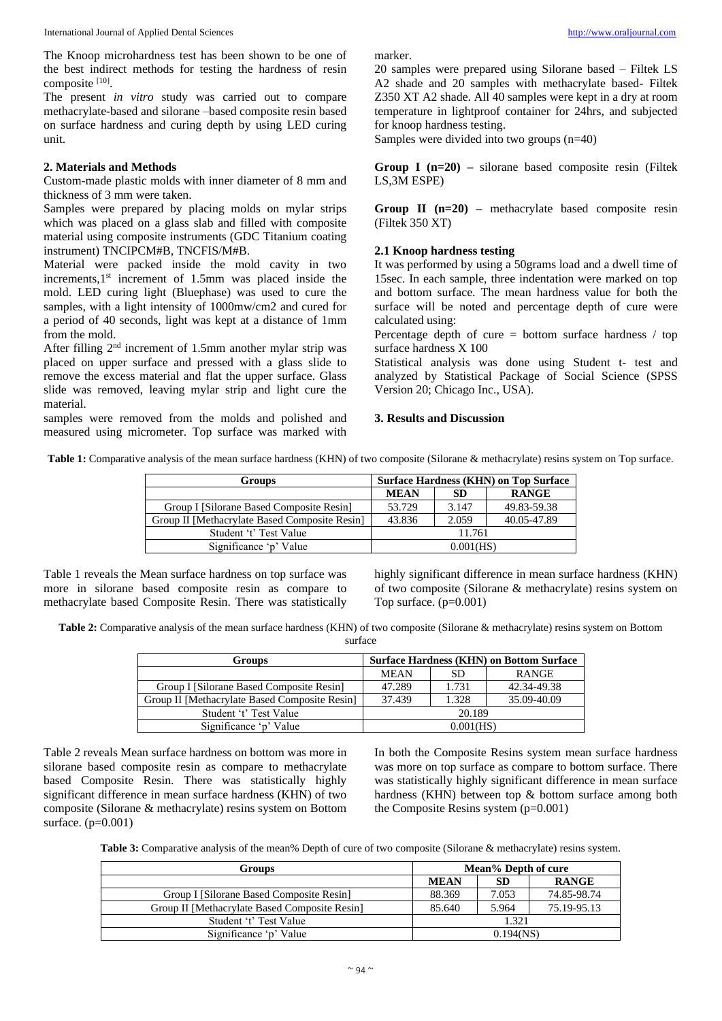The Knoop microhardness test has been shown to be one of the best indirect methods for testing the hardness of resin composite [10].

The present *in vitro* study was carried out to compare methacrylate-based and silorane –based composite resin based on surface hardness and curing depth by using LED curing unit.

# **2. Materials and Methods**

Custom-made plastic molds with inner diameter of 8 mm and thickness of 3 mm were taken.

Samples were prepared by placing molds on mylar strips which was placed on a glass slab and filled with composite material using composite instruments (GDC Titanium coating instrument) TNCIPCM#B, TNCFIS/M#B.

Material were packed inside the mold cavity in two increments, $1<sup>st</sup>$  increment of 1.5mm was placed inside the mold. LED curing light (Bluephase) was used to cure the samples, with a light intensity of 1000mw/cm2 and cured for a period of 40 seconds, light was kept at a distance of 1mm from the mold.

After filling  $2<sup>nd</sup>$  increment of 1.5mm another mylar strip was placed on upper surface and pressed with a glass slide to remove the excess material and flat the upper surface. Glass slide was removed, leaving mylar strip and light cure the material.

samples were removed from the molds and polished and measured using micrometer. Top surface was marked with marker.

20 samples were prepared using Silorane based – Filtek LS A2 shade and 20 samples with methacrylate based- Filtek Z350 XT A2 shade. All 40 samples were kept in a dry at room temperature in lightproof container for 24hrs, and subjected for knoop hardness testing.

Samples were divided into two groups (n=40)

**Group I (n=20) –** silorane based composite resin (Filtek LS,3M ESPE)

**Group II (n=20) –** methacrylate based composite resin (Filtek 350 XT)

# **2.1 Knoop hardness testing**

It was performed by using a 50grams load and a dwell time of 15sec. In each sample, three indentation were marked on top and bottom surface. The mean hardness value for both the surface will be noted and percentage depth of cure were calculated using:

Percentage depth of cure  $=$  bottom surface hardness / top surface hardness X 100

Statistical analysis was done using Student t- test and analyzed by Statistical Package of Social Science (SPSS Version 20; Chicago Inc., USA).

## **3. Results and Discussion**

**Table 1:** Comparative analysis of the mean surface hardness (KHN) of two composite (Silorane & methacrylate) resins system on Top surface.

| Groups                                        | <b>Surface Hardness (KHN) on Top Surface</b> |           |              |  |
|-----------------------------------------------|----------------------------------------------|-----------|--------------|--|
|                                               | <b>MEAN</b>                                  | <b>SD</b> | <b>RANGE</b> |  |
| Group I [Silorane Based Composite Resin]      | 53.729                                       | 3.147     | 49.83-59.38  |  |
| Group II [Methacrylate Based Composite Resin] | 43.836                                       | 2.059     | 40.05-47.89  |  |
| Student 't' Test Value                        | 11.761                                       |           |              |  |
| Significance 'p' Value                        | 0.001(HS)                                    |           |              |  |

Table 1 reveals the Mean surface hardness on top surface was more in silorane based composite resin as compare to methacrylate based Composite Resin. There was statistically highly significant difference in mean surface hardness (KHN) of two composite (Silorane & methacrylate) resins system on Top surface. (p=0.001)

**Table 2:** Comparative analysis of the mean surface hardness (KHN) of two composite (Silorane & methacrylate) resins system on Bottom surface

| Groups                                        | <b>Surface Hardness (KHN) on Bottom Surface</b> |       |             |  |
|-----------------------------------------------|-------------------------------------------------|-------|-------------|--|
|                                               | <b>MEAN</b>                                     | SD    | RANGE       |  |
| Group I [Silorane Based Composite Resin]      | 47.289                                          | 1.731 | 42.34-49.38 |  |
| Group II [Methacrylate Based Composite Resin] | 37.439                                          | 1.328 | 35.09-40.09 |  |
| Student 't' Test Value                        | 20.189                                          |       |             |  |
| Significance 'p' Value                        | $0.001$ (HS)                                    |       |             |  |

Table 2 reveals Mean surface hardness on bottom was more in silorane based composite resin as compare to methacrylate based Composite Resin. There was statistically highly significant difference in mean surface hardness (KHN) of two composite (Silorane & methacrylate) resins system on Bottom surface. (p=0.001)

In both the Composite Resins system mean surface hardness was more on top surface as compare to bottom surface. There was statistically highly significant difference in mean surface hardness (KHN) between top & bottom surface among both the Composite Resins system (p=0.001)

**Table 3:** Comparative analysis of the mean% Depth of cure of two composite (Silorane & methacrylate) resins system.

| <b>Groups</b>                                 | Mean% Depth of cure |           |              |  |
|-----------------------------------------------|---------------------|-----------|--------------|--|
|                                               | <b>MEAN</b>         | <b>SD</b> | <b>RANGE</b> |  |
| Group I [Silorane Based Composite Resin]      | 88.369              | 7.053     | 74.85-98.74  |  |
| Group II [Methacrylate Based Composite Resin] | 85.640              | 5.964     | 75.19-95.13  |  |
| Student 't' Test Value                        | 1.321               |           |              |  |
| Significance 'p' Value                        | 0.194(NS)           |           |              |  |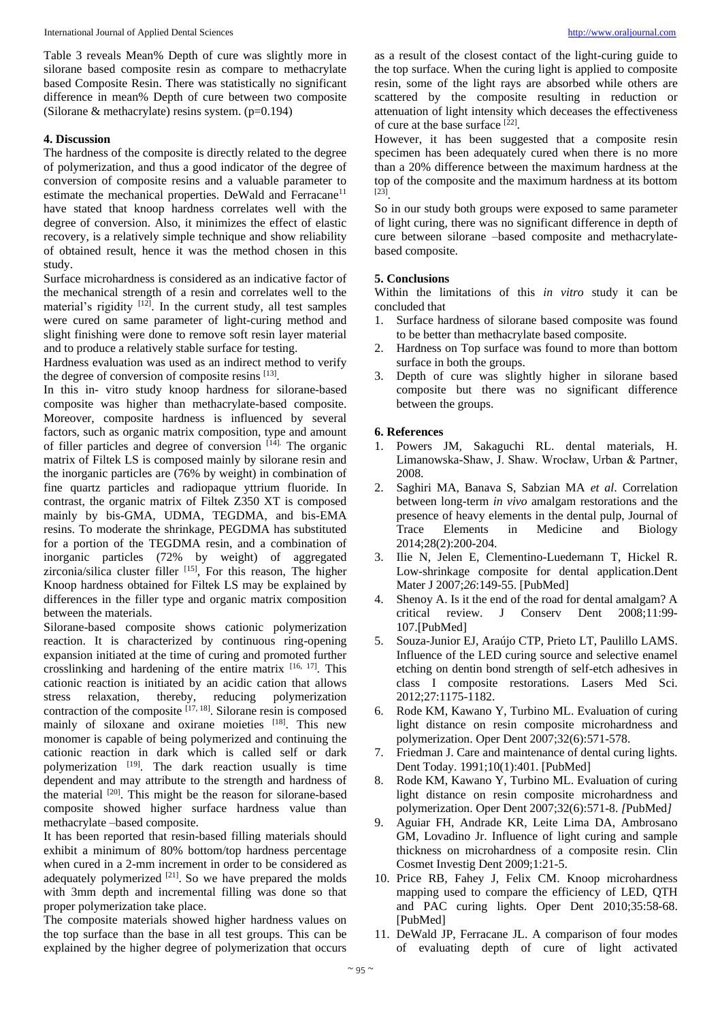Table 3 reveals Mean% Depth of cure was slightly more in silorane based composite resin as compare to methacrylate based Composite Resin. There was statistically no significant difference in mean% Depth of cure between two composite (Silorane & methacrylate) resins system. (p=0.194)

# **4. Discussion**

The hardness of the composite is directly related to the degree of polymerization, and thus a good indicator of the degree of conversion of composite resins and a valuable parameter to estimate the mechanical properties. DeWald and Ferracane<sup>11</sup> have stated that knoop hardness correlates well with the degree of conversion. Also, it minimizes the effect of elastic recovery, is a relatively simple technique and show reliability of obtained result, hence it was the method chosen in this study.

Surface microhardness is considered as an indicative factor of the mechanical strength of a resin and correlates well to the material's rigidity [12]. In the current study, all test samples were cured on same parameter of light-curing method and slight finishing were done to remove soft resin layer material and to produce a relatively stable surface for testing.

Hardness evaluation was used as an indirect method to verify the degree of conversion of composite resins [13].

In this in- vitro study knoop hardness for silorane-based composite was higher than methacrylate-based composite. Moreover, composite hardness is influenced by several factors, such as organic matrix composition, type and amount of filler particles and degree of conversion  $[14]$ . The organic matrix of Filtek LS is composed mainly by silorane resin and the inorganic particles are (76% by weight) in combination of fine quartz particles and radiopaque yttrium fluoride. In contrast, the organic matrix of Filtek Z350 XT is composed mainly by bis-GMA, UDMA, TEGDMA, and bis-EMA resins. To moderate the shrinkage, PEGDMA has substituted for a portion of the TEGDMA resin, and a combination of inorganic particles (72% by weight) of aggregated zirconia/silica cluster filler [15], For this reason, The higher Knoop hardness obtained for Filtek LS may be explained by differences in the filler type and organic matrix composition between the materials.

Silorane-based composite shows cationic polymerization reaction. It is characterized by continuous ring-opening expansion initiated at the time of curing and promoted further crosslinking and hardening of the entire matrix  $[16, 17]$ . This cationic reaction is initiated by an acidic cation that allows stress relaxation, thereby, reducing polymerization contraction of the composite  $[17, 18]$ . Silorane resin is composed mainly of siloxane and oxirane moieties [18]. This new monomer is capable of being polymerized and continuing the cationic reaction in dark which is called self or dark polymerization <sup>[19]</sup>. The dark reaction usually is time dependent and may attribute to the strength and hardness of the material  $[20]$ . This might be the reason for silorane-based composite showed higher surface hardness value than methacrylate –based composite.

It has been reported that resin-based filling materials should exhibit a minimum of 80% bottom/top hardness percentage when cured in a 2-mm increment in order to be considered as adequately polymerized  $[21]$ . So we have prepared the molds with 3mm depth and incremental filling was done so that proper polymerization take place.

The composite materials showed higher hardness values on the top surface than the base in all test groups. This can be explained by the higher degree of polymerization that occurs

as a result of the closest contact of the light-curing guide to the top surface. When the curing light is applied to composite resin, some of the light rays are absorbed while others are scattered by the composite resulting in reduction or attenuation of light intensity which deceases the effectiveness of cure at the base surface [22] .

However, it has been suggested that a composite resin specimen has been adequately cured when there is no more than a 20% difference between the maximum hardness at the top of the composite and the maximum hardness at its bottom [23] .

So in our study both groups were exposed to same parameter of light curing, there was no significant difference in depth of cure between silorane –based composite and methacrylatebased composite.

# **5. Conclusions**

Within the limitations of this *in vitro* study it can be concluded that

- 1. Surface hardness of silorane based composite was found to be better than methacrylate based composite.
- 2. Hardness on Top surface was found to more than bottom surface in both the groups.
- 3. Depth of cure was slightly higher in silorane based composite but there was no significant difference between the groups.

# **6. References**

- 1. Powers JM, Sakaguchi RL. dental materials, H. Limanowska-Shaw, J. Shaw. Wrocław, Urban & Partner, 2008.
- 2. Saghiri MA, Banava S, Sabzian MA *et al*. Correlation between long-term *in vivo* amalgam restorations and the presence of heavy elements in the dental pulp, Journal of Trace Elements in Medicine and Biology 2014;28(2):200-204.
- 3. Ilie N, Jelen E, Clementino-Luedemann T, Hickel R. Low-shrinkage composite for dental application.Dent Mater J 2007;*26*:149-55. [PubMed]
- 4. Shenoy A. Is it the end of the road for dental amalgam? A critical review. J Conserv Dent 2008;11:99- 107.[PubMed]
- 5. Souza-Junior EJ, Araújo CTP, Prieto LT, Paulillo LAMS. Influence of the LED curing source and selective enamel etching on dentin bond strength of self-etch adhesives in class I composite restorations. Lasers Med Sci. 2012;27:1175-1182.
- 6. Rode KM, Kawano Y, Turbino ML. Evaluation of curing light distance on resin composite microhardness and polymerization. Oper Dent 2007;32(6):571-578.
- 7. Friedman J. Care and maintenance of dental curing lights. Dent Today. 1991;10(1):401. [PubMed]
- 8. Rode KM, Kawano Y, Turbino ML. Evaluation of curing light distance on resin composite microhardness and polymerization. Oper Dent 2007;32(6):571-8. *[*PubMed*]*
- 9. Aguiar FH, Andrade KR, Leite Lima DA, Ambrosano GM, Lovadino Jr. Influence of light curing and sample thickness on microhardness of a composite resin. Clin Cosmet Investig Dent 2009;1:21-5.
- 10. Price RB, Fahey J, Felix CM. Knoop microhardness mapping used to compare the efficiency of LED, QTH and PAC curing lights. Oper Dent 2010;35:58-68. [PubMed]
- 11. DeWald JP, Ferracane JL. A comparison of four modes of evaluating depth of cure of light activated